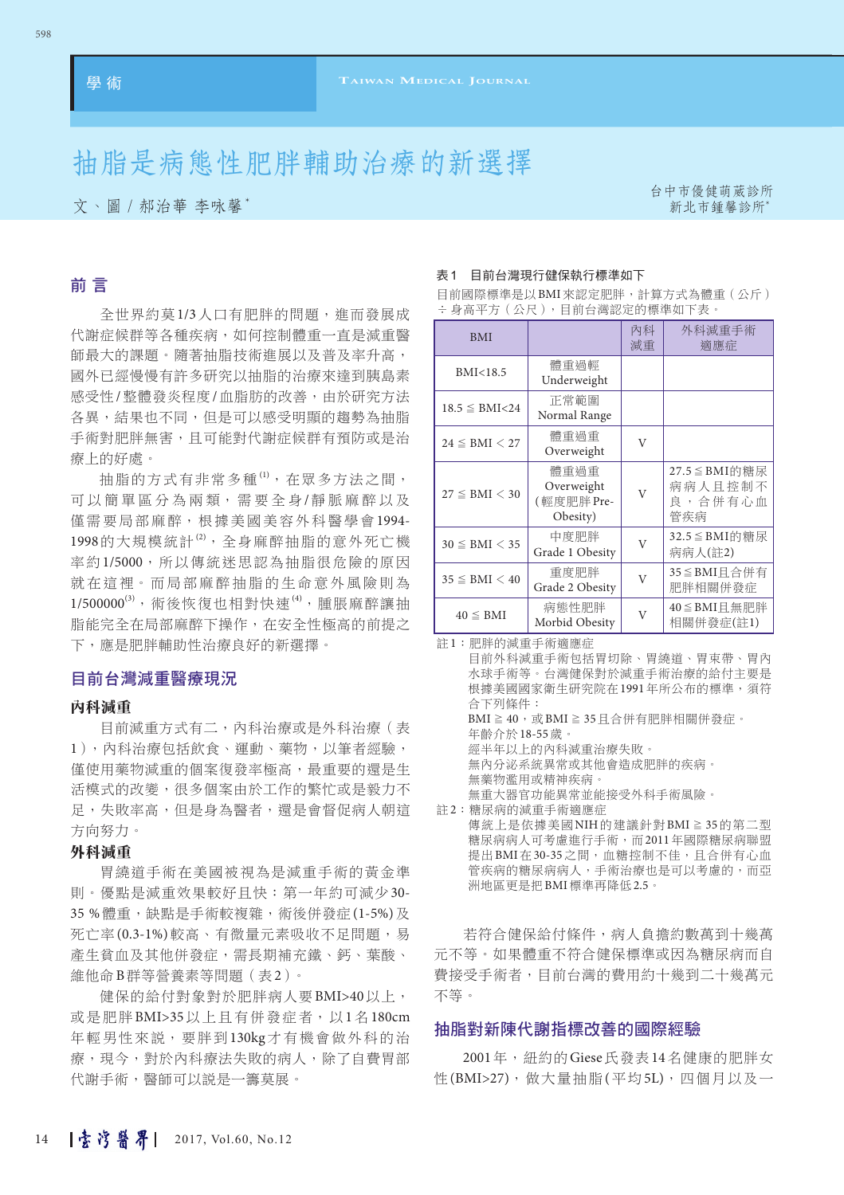# 抽脂是病態性肥胖輔助治療的新選擇

文、圖∕郝治華 李咏馨\* 新北市鍾馨診所﹡

台中市優健萌葳診所

# 前 言

全世界約莫1/3人口有肥胖的問題,進而發展成 代謝症候群等各種疾病,如何控制體重一直是減重醫 師最大的課題。隨著抽脂技術進展以及普及率升高, 國外已經慢慢有許多研究以抽脂的治療來達到胰島素 感受性/整體發炎程度/血脂肪的改善,由於研究方法 各異,結果也不同,但是可以感受明顯的趨勢為抽脂 手術對肥胖無害,且可能對代謝症候群有預防或是治 療上的好處。

抽脂的方式有非常多種(1), 在眾多方法之間, 可以簡單區分為兩類,需要全身/靜脈麻醉以及 僅需要局部麻醉,根據美國美容外科醫學會1994- 1998的大規模統計<sup>(2)</sup>, 全身麻醉抽脂的意外死亡機 率約1/5000,所以傳統迷思認為抽脂很危險的原因 就在這裡。而局部麻醉抽脂的生命意外風險則為 1/500000<sup>(3)</sup>,術後恢復也相對快速<sup>(4)</sup>,腫脹麻醉讓抽 脂能完全在局部麻醉下操作,在安全性極高的前提之 下,應是肥胖輔助性治療良好的新選擇。

# 目前台灣減重醫療現況

#### 內科減重

目前減重方式有二,內科治療或是外科治療(表 1),內科治療包括飲食、運動、藥物,以筆者經驗, 僅使用藥物減重的個案復發率極高,最重要的還是生 活模式的改變,很多個案由於工作的繁忙或是毅力不 足,失敗率高,但是身為醫者,還是會督促病人朝這 方向努力。

#### 外科減重

胃繞道手術在美國被視為是減重手術的黃金準 則。優點是減重效果較好且快:第一年約可減少30- 35%體重,缺點是手術較複雜,術後併發症(1-5%)及 死亡率(0.3-1%)較高、有微量元素吸收不足問題,易 產生貧血及其他併發症,需長期補充鐵、鈣、葉酸、 維他命B群等營養素等問題(表2)。

健保的給付對象對於肥胖病人要BMI>40以上, 或是肥胖BMI>35以上且有併發症者,以1名180cm 年輕男性來說,要胖到130kg才有機會做外科的治 療,現今,對於內科療法失敗的病人,除了自費胃部 代謝手術,醫師可以説是一籌莫展。

#### 表1 目前台灣現行健保執行標準如下

| <b>BMI</b>           |                                              | 內科<br>減重       | 外科減重手術<br>滴應症                               |  |  |  |
|----------------------|----------------------------------------------|----------------|---------------------------------------------|--|--|--|
| BMI<18.5             | 體重過輕<br>Underweight                          |                |                                             |  |  |  |
| $18.5 \leq BMI < 24$ | 正常範圍<br>Normal Range                         |                |                                             |  |  |  |
| $24 \leq BMI < 27$   | 體重過重<br>Overweight                           | V              |                                             |  |  |  |
| $27 \leq BMI < 30$   | 體重過重<br>Overweight<br>(輕度肥胖 Pre-<br>Obesity) | $\overline{V}$ | 27.5 ≦ BMI的糖尿<br>病病人且控制不<br>良, 合併有心血<br>管疾病 |  |  |  |
| $30 \leq BMI < 35$   | 中度肥胖<br>Grade 1 Obesity                      | V              | 32.5 ≤ BMI的糖尿<br>病病人(註2)                    |  |  |  |
| $35 \leq BMI < 40$   | 重度肥胖<br>Grade 2 Obesity                      | V              | 35≦BMI且合併有<br>肥胖相關併發症                       |  |  |  |
| $40 \leq BMI$        | 病熊性肥胖<br>Morbid Obesity                      | V              | $40 ≤$ BMI 且無肥胖<br>相關併發症(註1)                |  |  |  |

目前國際標準是以BMI來認定肥胖,計算方式為體重(公斤) ÷身高平方(公尺),目前台灣認定的標準如下表。

註1:肥胖的減重手術適應症

目前外科減重手術包括胃切除、胃繞道、胃束帶、胃內 水球手術等。台灣健保對於減重手術治療的給付主要是 根據美國國家衛生研究院在1991年所公布的標準, 須符 合下列條件: BMI  $≥$  40, 或BMI  $≥$  35日合併有肥胖相關併發症。 年齡介於18-55歲。 經半年以上的內科減重治療失敗。 無內分泌系統異常或其他會造成肥胖的疾病。 無藥物濫用或精神疾病。 無重大器官功能異常並能接受外科手術風險。 註2:糖尿病的減重手術適應症 傳統上是依據美國NIH的建議針對BMI≧35的第二型

糖尿病病人可考慮進行手術,而2011年國際糖尿病聯盟 提出BMI在30-35之間,血糖控制不佳,且合併有心血 管疾病的糖尿病病人,手術治療也是可以考慮的,而亞 洲地區更是把BMI標準再降低2.5。

若符合健保給付條件,病人負擔約數萬到十幾萬 元不等。如果體重不符合健保標準或因為糖尿病而自 費接受手術者,目前台灣的費用約十幾到二十幾萬元 不等。

# 抽脂對新陳代謝指標改善的國際經驗

2001年, 紐約的Giese氏發表14名健康的肥胖女 性(BMI>27), 做大量抽脂(平均5L), 四個月以及一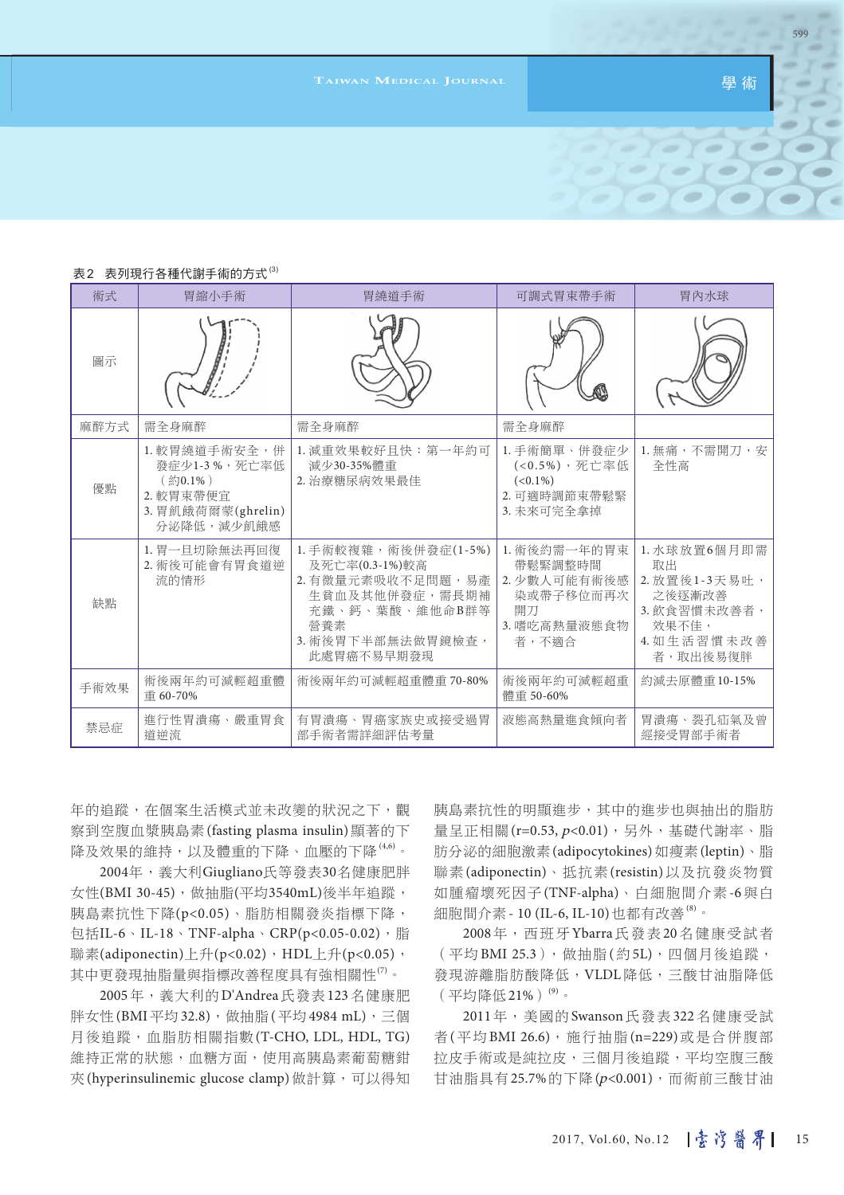**T**aiwan Medical Journal <sub>→</sub> Property Web ( 學 術

 $Y =$ 

599

 $\blacksquare$ 

| 術式   | 胃縮小手術                                                                                     | 胃繞道手術                                                                                                                                     | 可調式胃束帶手術                                                                            | 胃内水球                                                                                               |
|------|-------------------------------------------------------------------------------------------|-------------------------------------------------------------------------------------------------------------------------------------------|-------------------------------------------------------------------------------------|----------------------------------------------------------------------------------------------------|
| 圖示   |                                                                                           |                                                                                                                                           |                                                                                     |                                                                                                    |
| 麻醉方式 | 需全身麻醉                                                                                     | 需全身麻醉                                                                                                                                     | 需全身麻醉                                                                               |                                                                                                    |
| 優點   | 1. 較胃繞道手術安全,併<br>發症少1-3%,死亡率低<br>(約0.1%)<br>2. 較胃束帶便宜<br>3. 胃飢餓荷爾蒙(ghrelin)<br>分泌降低,減少飢餓感 | 1. 減重效果較好且快:第一年約可<br>減少30-35%體重<br>2. 治療糖尿病效果最佳                                                                                           | 1. 手術簡單、併發症少<br>(<0.5%),死亡率低<br>$(<0.1\%)$<br>2. 可適時調節束帶鬆緊<br>3. 未來可完全拿掉            | 1. 無痛,不需開刀, 安<br>全性高                                                                               |
| 缺點   | 1. 胃一旦切除無法再回復<br>2. 術後可能會有胃食道逆<br>流的情形                                                    | 1. 手術較複雜,術後併發症(1-5%)<br>及死亡率(0.3-1%)較高<br>2. 有微量元素吸收不足問題,易產<br>生貧血及其他併發症,需長期補<br>充鐵、鈣、葉酸、維他命B群等<br>營養素<br>3. 術後胃下半部無法做胃鏡檢查,<br>此處胃癌不易早期發現 | 1. 術後約需一年的胃束<br>帶鬆緊調整時間<br>2. 少數人可能有術後感<br>染或帶子移位而再次<br>開刀<br>3. 嗜吃高熱量液態食物<br>者,不滴合 | 1. 水球放置6個月即需<br>取出<br>2. 放置後1-3天易吐,<br>之後逐漸改善<br>3. 飲食習慣未改善者,<br>效果不佳,<br>4. 如生活習慣未改善<br>者, 取出後易復胖 |
| 手術效果 | 術後兩年約可減輕超重體<br>重 60-70%                                                                   | 術後兩年約可減輕超重體重 70-80%                                                                                                                       | 術後兩年約可減輕超重<br>體重 50-60%                                                             | 約減去原體重10-15%                                                                                       |
| 禁忌症  | 進行性胃潰瘍、嚴重胃食<br>道逆流                                                                        | 有胃潰瘍、胃癌家族史或接受過胃<br>部手術者需詳細評估考量                                                                                                            | 液熊高熱量進食傾向者                                                                          | 胃潰瘍、裂孔疝氣及曾<br>經接受胃部手術者                                                                             |

#### 表2 表列現行各種代謝手術的方式(3)

年的追蹤,在個案生活模式並未改變的狀況之下,觀 察到空腹血漿胰島素(fasting plasma insulin)顯著的下 降及效果的維持,以及體重的下降、血壓的下降 $^{(4,6)}$ 。

2004年,義大利Giugliano氏等發表30名健康肥胖 女性(BMI 30-45),做抽脂(平均3540mL)後半年追蹤, 胰島素抗性下降(p<0.05)、脂肪相關發炎指標下降, 包括IL-6、IL-18、TNF-alpha、CRP(p<0.05-0.02), 脂 聯素(adiponectin)上升(p<0.02),HDL上升(p<0.05), 其中更發現抽脂量與指標改善程度具有強相關性<sup>(7)</sup>。

2005年,義大利的D'Andrea氏發表123名健康肥 胖女性(BMI平均32.8),做抽脂(平均4984 mL),三個 月後追蹤,血脂肪相關指數(T-CHO, LDL, HDL, TG) 維持正常的狀態,血糖方面,使用高胰島素葡萄糖鉗 夾(hyperinsulinemic glucose clamp)做計算,可以得知 胰島素抗性的明顯進步,其中的進步也與抽出的脂肪 量呈正相關(r=0.53, p<0.01),另外,基礎代謝率、脂 肪分泌的細胞激素(adipocytokines)如瘦素(leptin)、脂 聯素(adiponectin)、抵抗素(resistin)以及抗發炎物質 如腫瘤壞死因子(TNF-alpha)、白細胞間介素-6與白 細胞間介素 - 10 (IL-6, IL-10)也都有改善<sup>(8)</sup>。

2008年,西班牙Ybarra氏發表20名健康受試者 (平均BMI 25.3),做抽脂(約5L),四個月後追蹤, 發現游離脂肪酸降低,VLDL降低,三酸甘油脂降低  $($ 平均降低21%) $^{(9)}$ 。

2011年,美國的Swanson氏發表322名健康受試 者(平均BMI 26.6),施行抽脂(n=229)或是合併腹部 拉皮手術或是純拉皮,三個月後追蹤,平均空腹三酸 甘油脂具有25.7%的下降(p<0.001),而術前三酸甘油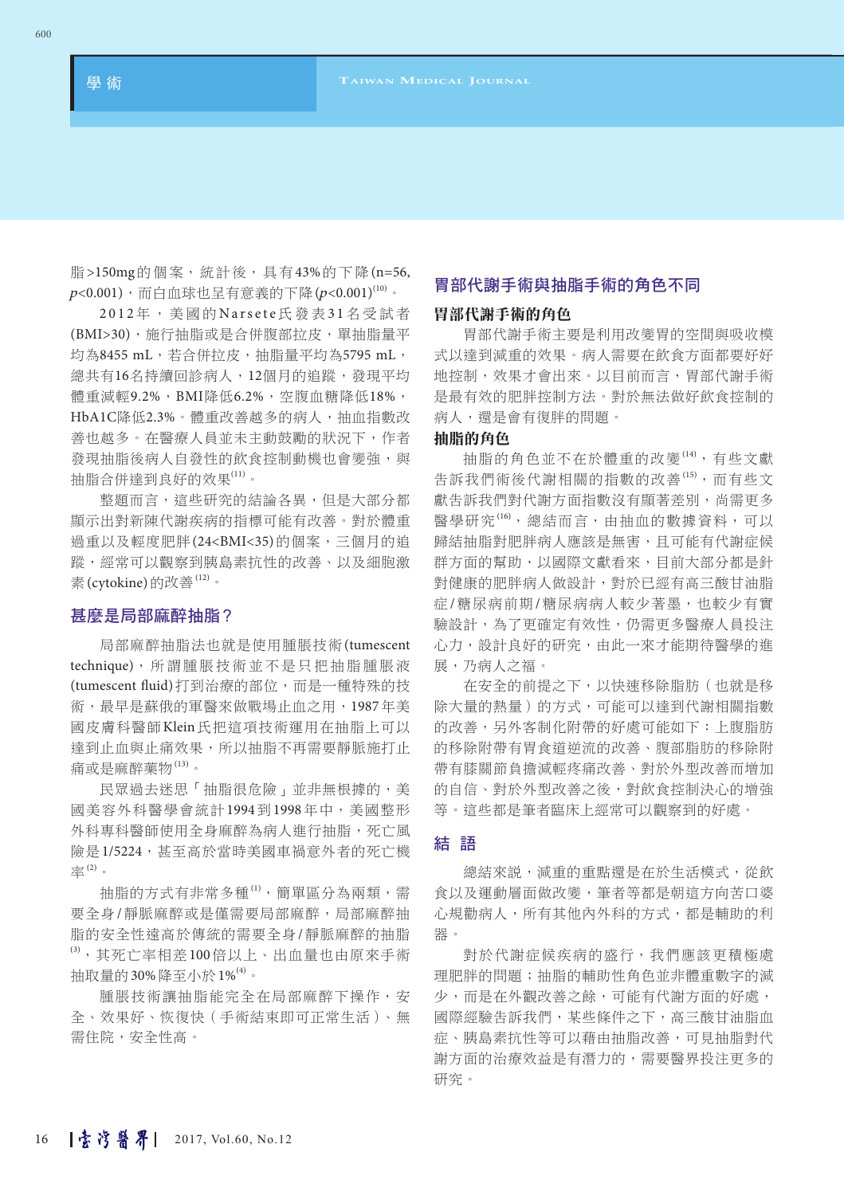脂>150mg的個案,統計後,具有43%的下降(n=56,  $p$ <0.001),而白血球也呈有意義的下降 $(p$ <0.001) $^{\textrm{\tiny{(10)}}}$ 。

2012年,美國的Narsete氏發表31名受試者 (BMI>30),施行抽脂或是合併腹部拉皮,單抽脂量平 均為8455 mL,若合併拉皮,抽脂量平均為5795 mL, 總共有16名持續回診病人,12個月的追蹤,發現平均 體重減輕9.2%,BMI降低6.2%,空腹血糖降低18%, HbA1C降低2.3%。體重改善越多的病人,抽血指數改 善也越多。在醫療人員並未主動鼓勵的狀況下,作者 發現抽脂後病人自發性的飲食控制動機也會變強,與 抽脂合併達到良好的效果<sup>(11)</sup>。

整題而言,這些研究的結論各異,但是大部分都 顯示出對新陳代謝疾病的指標可能有改善。對於體重 過重以及輕度肥胖(24<BMI<35)的個案,三個月的追 蹤,經常可以觀察到胰島素抗性的改善、以及細胞激 素(cytokine)的改善(12)。

## 甚麼是局部麻醉抽脂?

局部麻醉抽脂法也就是使用腫脹技術(tumescent technique),所謂腫脹技術並不是只把抽脂腫脹液 (tumescent fluid)打到治療的部位,而是一種特殊的技 術,最早是蘇俄的軍醫來做戰場止血之用,1987年美 國皮膚科醫師Klein氏把這項技術運用在抽脂上可以 達到止血與止痛效果,所以抽脂不再需要靜脈施打止 痛或是麻醉藥物 $^{(13)}$ 。

民眾過去迷思「抽脂很危險」並非無根據的,美 國美容外科醫學會統計1994到1998年中,美國整形 外科專科醫師使用全身麻醉為病人進行抽脂,死亡風 險是1/5224,甚至高於當時美國車禍意外者的死亡機 率(2) 。

抽脂的方式有非常多種(1),簡單區分為兩類,需 要全身/靜脈麻醉或是僅需要局部麻醉,局部麻醉抽 脂的安全性遠高於傳統的需要全身/靜脈麻醉的抽脂 (3) ,其死亡率相差100倍以上、出血量也由原來手術 抽取量的30%降至小於1%<sup>(4)</sup>。

腫脹技術讓抽脂能完全在局部麻醉下操作,安 全、效果好、恢復快(手術結束即可正常生活)、無 需住院,安全性高。

# 胃部代謝手術與抽脂手術的角色不同

# 胃部代謝手術的角色

胃部代謝手術主要是利用改變胃的空間與吸收模 式以達到減重的效果。病人需要在飲食方面都要好好 地控制,效果才會出來。以目前而言,胃部代謝手術 是最有效的肥胖控制方法。對於無法做好飲食控制的 病人,還是會有復胖的問題。

# 抽脂的角色

抽脂的角色並不在於體重的改變(14), 有些文獻 告訴我們術後代謝相關的指數的改善(15) ,而有些文 獻告訴我們對代謝方面指數沒有顯著差別,尚需更多 醫學研究<sup>(16)</sup>, 總結而言, 由抽血的數據資料, 可以 歸結抽脂對肥胖病人應該是無害,且可能有代謝症候 群方面的幫助,以國際文獻看來,目前大部分都是針 對健康的肥胖病人做設計,對於已經有高三酸甘油脂 症/糖尿病期/糖尿病病人較少著墨,也較少有實 驗設計,為了更確定有效性,仍需更多醫療人員投注 心力,設計良好的研究,由此一來才能期待醫學的進 展,乃病人之福。

在安全的前提之下,以快速移除脂肪(也就是移 除大量的熱量)的方式,可能可以達到代謝相關指數 的改善,另外客制化附帶的好處可能如下:上腹脂肪 的移除附帶有胃食道逆流的改善、腹部脂肪的移除附 帶有膝關節負擔減輕疼痛改善、對於外型改善而增加 的自信、對於外型改善之後,對飲食控制決心的增強 等。這些都是筆者臨床上經常可以觀察到的好處。

### 結 語

總結來說,減重的重點還是在於生活模式,從飲 食以及運動層面做改變,筆者等都是朝這方向苦口婆 心規勸病人,所有其他內外科的方式,都是輔助的利 器。

對於代謝症候疾病的盛行,我們應該更積極處 理肥胖的問題;抽脂的輔助性角色並非體重數字的減 少,而是在外觀改善之餘,可能有代謝方面的好處, 國際經驗告訴我們,某些條件之下,高三酸甘油脂血 症、胰島素抗性等可以藉由抽脂改善,可見抽脂對代 謝方面的治療效益是有潛力的,需要醫界投注更多的 研究。